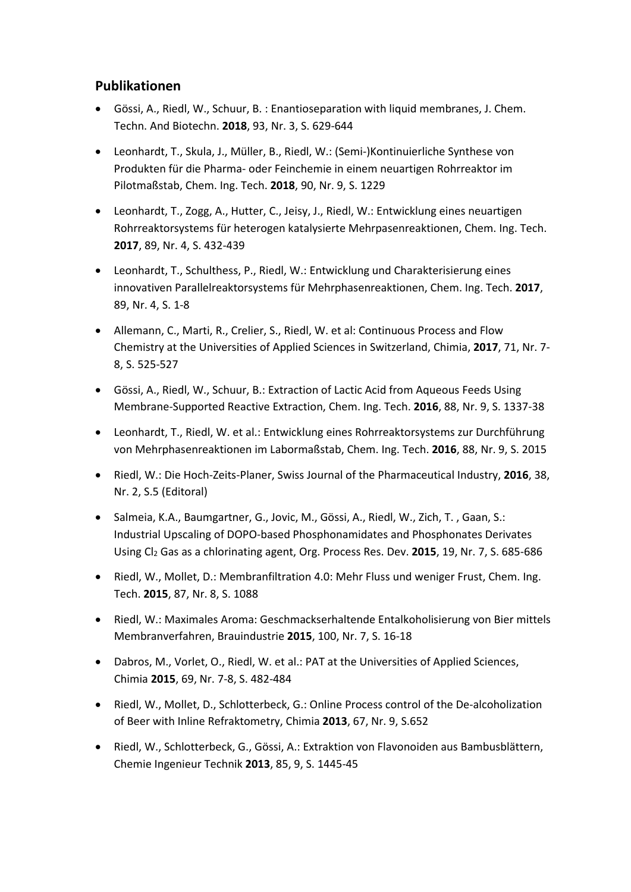## **Publikationen**

- Gössi, A., Riedl, W., Schuur, B. : Enantioseparation with liquid membranes, J. Chem. Techn. And Biotechn. **2018**, 93, Nr. 3, S. 629-644
- Leonhardt, T., Skula, J., Müller, B., Riedl, W.: (Semi-)Kontinuierliche Synthese von Produkten für die Pharma- oder Feinchemie in einem neuartigen Rohrreaktor im Pilotmaßstab, Chem. Ing. Tech. **2018**, 90, Nr. 9, S. 1229
- Leonhardt, T., Zogg, A., Hutter, C., Jeisy, J., Riedl, W.: Entwicklung eines neuartigen Rohrreaktorsystems für heterogen katalysierte Mehrpasenreaktionen, Chem. Ing. Tech. **2017**, 89, Nr. 4, S. 432-439
- Leonhardt, T., Schulthess, P., Riedl, W.: Entwicklung und Charakterisierung eines innovativen Parallelreaktorsystems für Mehrphasenreaktionen, Chem. Ing. Tech. **2017**, 89, Nr. 4, S. 1-8
- Allemann, C., Marti, R., Crelier, S., Riedl, W. et al: Continuous Process and Flow Chemistry at the Universities of Applied Sciences in Switzerland, Chimia, **2017**, 71, Nr. 7- 8, S. 525-527
- Gössi, A., Riedl, W., Schuur, B.: Extraction of Lactic Acid from Aqueous Feeds Using Membrane-Supported Reactive Extraction, Chem. Ing. Tech. **2016**, 88, Nr. 9, S. 1337-38
- Leonhardt, T., Riedl, W. et al.: Entwicklung eines Rohrreaktorsystems zur Durchführung von Mehrphasenreaktionen im Labormaßstab, Chem. Ing. Tech. **2016**, 88, Nr. 9, S. 2015
- Riedl, W.: Die Hoch-Zeits-Planer, Swiss Journal of the Pharmaceutical Industry, **2016**, 38, Nr. 2, S.5 (Editoral)
- Salmeia, K.A., Baumgartner, G., Jovic, M., Gössi, A., Riedl, W., Zich, T. , Gaan, S.: Industrial Upscaling of DOPO-based Phosphonamidates and Phosphonates Derivates Using Cl2 Gas as a chlorinating agent, Org. Process Res. Dev. **2015**, 19, Nr. 7, S. 685-686
- Riedl, W., Mollet, D.: Membranfiltration 4.0: Mehr Fluss und weniger Frust, Chem. Ing. Tech. **2015**, 87, Nr. 8, S. 1088
- Riedl, W.: Maximales Aroma: Geschmackserhaltende Entalkoholisierung von Bier mittels Membranverfahren, Brauindustrie **2015**, 100, Nr. 7, S. 16-18
- Dabros, M., Vorlet, O., Riedl, W. et al.: PAT at the Universities of Applied Sciences, Chimia **2015**, 69, Nr. 7-8, S. 482-484
- Riedl, W., Mollet, D., Schlotterbeck, G.: Online Process control of the De-alcoholization of Beer with Inline Refraktometry, Chimia **2013**, 67, Nr. 9, S.652
- Riedl, W., Schlotterbeck, G., Gössi, A.: Extraktion von Flavonoiden aus Bambusblättern, Chemie Ingenieur Technik **2013**, 85, 9, S. 1445-45